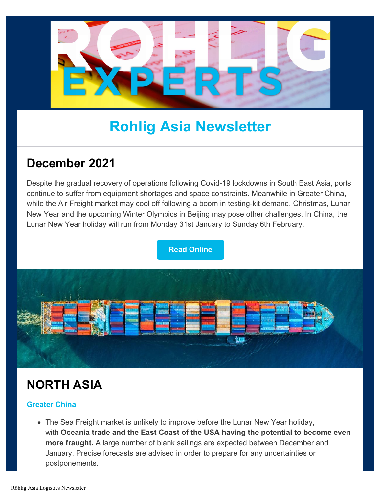

# **Rohlig Asia Newsletter**

### **December 2021**

Despite the gradual recovery of operations following Covid-19 lockdowns in South East Asia, ports continue to suffer from equipment shortages and space constraints. Meanwhile in Greater China, while the Air Freight market may cool off following a boom in testing-kit demand, Christmas, Lunar New Year and the upcoming Winter Olympics in Beijing may pose other challenges. In China, the Lunar New Year holiday will run from Monday 31st January to Sunday 6th February.

**[Read Online](https://www.rohlig.com//about-us/news-press/december-2021-roehlig-asia-logistics-newsletter)**



# **NORTH ASIA**

#### **Greater China**

The Sea Freight market is unlikely to improve before the Lunar New Year holiday, with **Oceania trade and the East Coast of the USA having the potential to become even more fraught.** A large number of blank sailings are expected between December and January. Precise forecasts are advised in order to prepare for any uncertainties or postponements.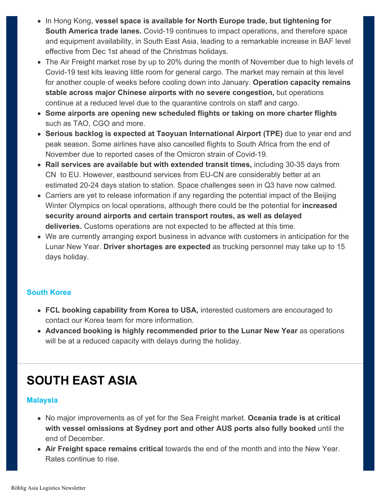- In Hong Kong, **vessel space is available for North Europe trade, but tightening for South America trade lanes.** Covid-19 continues to impact operations, and therefore space and equipment availability, in South East Asia, leading to a remarkable increase in BAF level effective from Dec 1st ahead of the Christmas holidays.
- The Air Freight market rose by up to 20% during the month of November due to high levels of Covid-19 test kits leaving little room for general cargo. The market may remain at this level for another couple of weeks before cooling down into January. **Operation capacity remains stable across major Chinese airports with no severe congestion,** but operations continue at a reduced level due to the quarantine controls on staff and cargo.
- **Some airports are opening new scheduled flights or taking on more charter flights** such as TAO, CGO and more.
- **Serious backlog is expected at Taoyuan International Airport (TPE)** due to year end and peak season. Some airlines have also cancelled flights to South Africa from the end of November due to reported cases of the Omicron strain of Covid-19.
- **Rail services are available but with extended transit times,** including 30-35 days from CN to EU. However, eastbound services from EU-CN are considerably better at an estimated 20-24 days station to station. Space challenges seen in Q3 have now calmed.
- Carriers are yet to release information if any regarding the potential impact of the Beijing Winter Olympics on local operations, although there could be the potential for **increased security around airports and certain transport routes, as well as delayed deliveries.** Customs operations are not expected to be affected at this time.
- We are currently arranging export business in advance with customers in anticipation for the Lunar New Year. **Driver shortages are expected** as trucking personnel may take up to 15 days holiday.

#### **South Korea**

- **FCL booking capability from Korea to USA,** interested customers are encouraged to contact our Korea team for more information.
- **Advanced booking is highly recommended prior to the Lunar New Year** as operations will be at a reduced capacity with delays during the holiday.

## **SOUTH EAST ASIA**

#### **Malaysia**

- No major improvements as of yet for the Sea Freight market. **Oceania trade is at critical with vessel omissions at Sydney port and other AUS ports also fully booked** until the end of December.
- **Air Freight space remains critical** towards the end of the month and into the New Year. Rates continue to rise.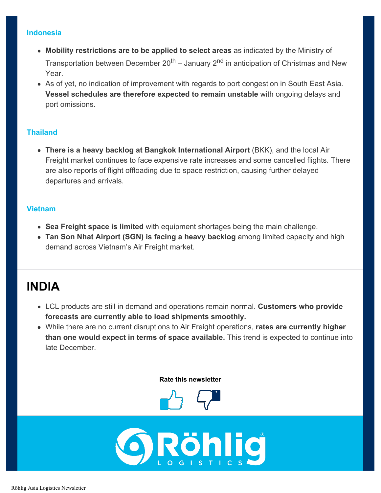#### **Indonesia**

- **Mobility restrictions are to be applied to select areas** as indicated by the Ministry of Transportation between December  $20^{th}$  – January  $2^{nd}$  in anticipation of Christmas and New Year.
- As of yet, no indication of improvement with regards to port congestion in South East Asia. **Vessel schedules are therefore expected to remain unstable** with ongoing delays and port omissions.

#### **Thailand**

**• There is a heavy backlog at Bangkok International Airport (BKK), and the local Air** Freight market continues to face expensive rate increases and some cancelled flights. There are also reports of flight offloading due to space restriction, causing further delayed departures and arrivals.

#### **Vietnam**

- **Sea Freight space is limited** with equipment shortages being the main challenge.
- **Tan Son Nhat Airport (SGN) is facing a heavy backlog** among limited capacity and high demand across Vietnam's Air Freight market.

### **INDIA**

- LCL products are still in demand and operations remain normal. **Customers who provide forecasts are currently able to load shipments smoothly.**
- While there are no current disruptions to Air Freight operations, **rates are currently higher than one would expect in terms of space available.** This trend is expected to continue into late December.

**Rate this newsletter**



**bhlig**